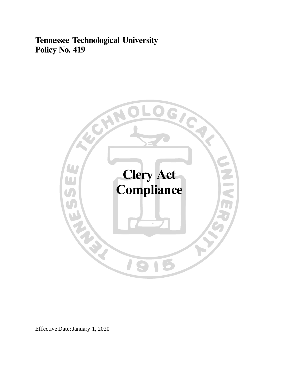**Tennessee Technological University Policy No. 419**



Effective Date:January 1, 2020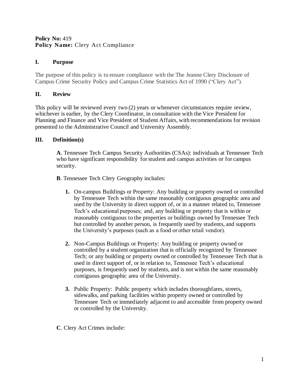#### **Policy No: 419 Policy Name:** Clery Act Compliance

## **I. Purpose**

The purpose of this policy is to ensure compliance with the The Jeanne Clery Disclosure of Campus Crime Security Policy and Campus Crime Statistics Act of 1990 ("Clery Act").

# **II. Review**

This policy will be reviewed every two (2) years or whenever circumstances require review, whichever is earlier, by the Clery Coordinator, in consultation with the Vice President for Planning and Finance and Vice President of Student Affairs, with recommendations for revision presented to the Administrative Council and University Assembly.

## **III. Definition(s)**

**A**. Tennessee Tech Campus Security Authorities (CSAs): individuals at Tennessee Tech who have significant responsibility for student and campus activities or for campus security.

- **B**. Tennessee Tech Clery Geography includes:
	- **1.** On-campus Buildings or Property: Any building or property owned or controlled by Tennessee Tech within the same reasonably contiguous geographic area and used by the University in direct support of, or in a manner related to, Tennessee Tech's educational purposes; and, any building or property that is within or reasonably contiguous to the properties or buildings owned by Tennessee Tech but controlled by another person, is frequently used by students, and supports the University's purposes (such as a food or other retail vendor).
	- **2.** Non-Campus Buildings or Property: Any building or property owned or controlled by a student organization that is officially recognized by Tennessee Tech; or any building or property owned or controlled by Tennessee Tech that is used in direct support of, or in relation to, Tennessee Tech's educational purposes, is frequently used by students, and is not within the same reasonably contiguous geographic area of the University.
	- **3.** Public Property: Public property which includes thoroughfares, streets, sidewalks, and parking facilities within property owned or controlled by Tennessee Tech or immediately adjacent to and accessible from property owned or controlled by the University.
- **C**. Clery Act Crimes include: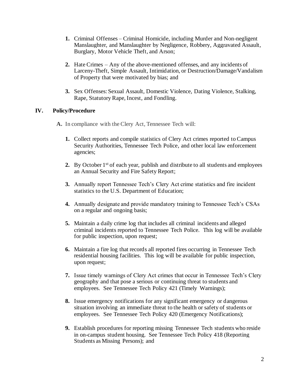- **1.** Criminal Offenses Criminal Homicide, including Murder and Non-negligent Manslaughter, and Manslaughter by Negligence, Robbery, Aggravated Assault, Burglary, Motor Vehicle Theft, and Arson;
- **2.** Hate Crimes Any of the above-mentioned offenses, and any incidents of Larceny-Theft, Simple Assault, Intimidation, or Destruction/Damage/Vandalism of Property that were motivated by bias; and
- **3.** Sex Offenses: Sexual Assault, Domestic Violence, Dating Violence, Stalking, Rape, Statutory Rape, Incest, and Fondling.

## **IV. Policy/Procedure**

**A.** In compliance with the Clery Act, Tennessee Tech will:

- **1.** Collect reports and compile statistics of Clery Act crimes reported to Campus Security Authorities, Tennessee Tech Police, and other local law enforcement agencies;
- **2.** By October 1<sup>st</sup> of each year, publish and distribute to all students and employees an Annual Security and Fire Safety Report;
- **3.** Annually report Tennessee Tech's Clery Act crime statistics and fire incident statistics to the U.S. Department of Education;
- **4.** Annually designate and provide mandatory training to Tennessee Tech's CSAs on a regular and ongoing basis;
- **5.** Maintain a daily crime log that includes all criminal incidents and alleged criminal incidents reported to Tennessee Tech Police. This log will be available for public inspection, upon request;
- **6.** Maintain a fire log that records all reported fires occurring in Tennessee Tech residential housing facilities. This log will be available for public inspection, upon request;
- **7.** Issue timely warnings of Clery Act crimes that occur in Tennessee Tech's Clery geography and that pose a serious or continuing threat to students and employees. See Tennessee Tech Policy 421 (Timely Warnings);
- **8.** Issue emergency notifications for any significant emergency or dangerous situation involving an immediate threat to the health or safety of students or employees. See Tennessee Tech Policy 420 (Emergency Notifications);
- **9.** Establish procedures for reporting missing Tennessee Tech students who reside in on-campus student housing. See Tennessee Tech Policy 418 (Reporting Students as Missing Persons); and